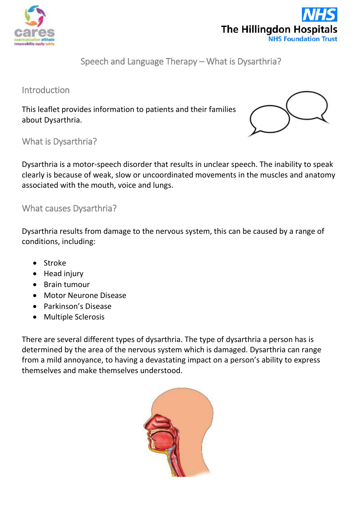



Speech and Language Therapy – What is Dysarthria?

Introduction

This leaflet provides information to patients and their families about Dysarthria.



What is Dysarthria?

Dysarthria is a motor-speech disorder that results in unclear speech. The inability to speak clearly is because of weak, slow or uncoordinated movements in the muscles and anatomy associated with the mouth, voice and lungs.

What causes Dysarthria?

Dysarthria results from damage to the nervous system, this can be caused by a range of conditions, including:

- Stroke
- Head injury
- Brain tumour
- Motor Neurone Disease
- Parkinson's Disease
- Multiple Sclerosis

There are several different types of dysarthria. The type of dysarthria a person has is determined by the area of the nervous system which is damaged. Dysarthria can range from a mild annoyance, to having a devastating impact on a person's ability to express themselves and make themselves understood.

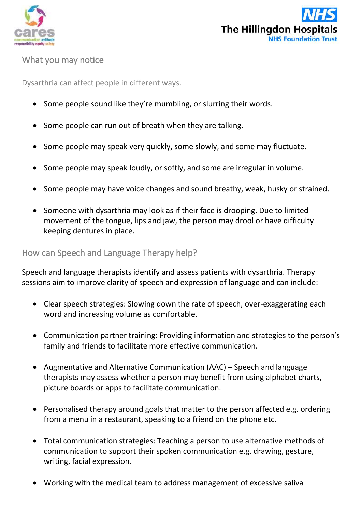



## What you may notice

Dysarthria can affect people in different ways.

- Some people sound like they're mumbling, or slurring their words.
- Some people can run out of breath when they are talking.
- Some people may speak very quickly, some slowly, and some may fluctuate.
- Some people may speak loudly, or softly, and some are irregular in volume.
- Some people may have voice changes and sound breathy, weak, husky or strained.
- Someone with dysarthria may look as if their face is drooping. Due to limited movement of the tongue, lips and jaw, the person may drool or have difficulty keeping dentures in place.

## How can Speech and Language Therapy help?

Speech and language therapists identify and assess patients with dysarthria. Therapy sessions aim to improve clarity of speech and expression of language and can include:

- Clear speech strategies: Slowing down the rate of speech, over-exaggerating each word and increasing volume as comfortable.
- Communication partner training: Providing information and strategies to the person's family and friends to facilitate more effective communication.
- Augmentative and Alternative Communication (AAC) Speech and language therapists may assess whether a person may benefit from using alphabet charts, picture boards or apps to facilitate communication.
- Personalised therapy around goals that matter to the person affected e.g. ordering from a menu in a restaurant, speaking to a friend on the phone etc.
- Total communication strategies: Teaching a person to use alternative methods of communication to support their spoken communication e.g. drawing, gesture, writing, facial expression.
- Working with the medical team to address management of excessive saliva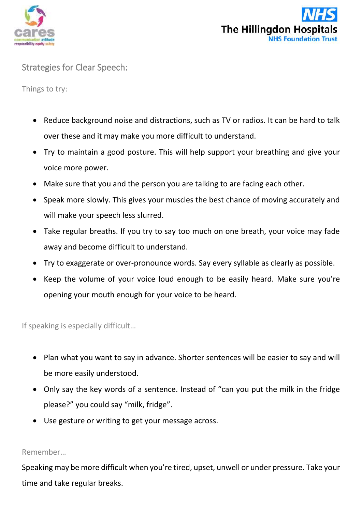



Strategies for Clear Speech:

Things to try:

- Reduce background noise and distractions, such as TV or radios. It can be hard to talk over these and it may make you more difficult to understand.
- Try to maintain a good posture. This will help support your breathing and give your voice more power.
- Make sure that you and the person you are talking to are facing each other.
- Speak more slowly. This gives your muscles the best chance of moving accurately and will make your speech less slurred.
- Take regular breaths. If you try to say too much on one breath, your voice may fade away and become difficult to understand.
- Try to exaggerate or over-pronounce words. Say every syllable as clearly as possible.
- Keep the volume of your voice loud enough to be easily heard. Make sure you're opening your mouth enough for your voice to be heard.

If speaking is especially difficult…

- Plan what you want to say in advance. Shorter sentences will be easier to say and will be more easily understood.
- Only say the key words of a sentence. Instead of "can you put the milk in the fridge please?" you could say "milk, fridge".
- Use gesture or writing to get your message across.

## Remember…

Speaking may be more difficult when you're tired, upset, unwell or under pressure. Take your time and take regular breaks.